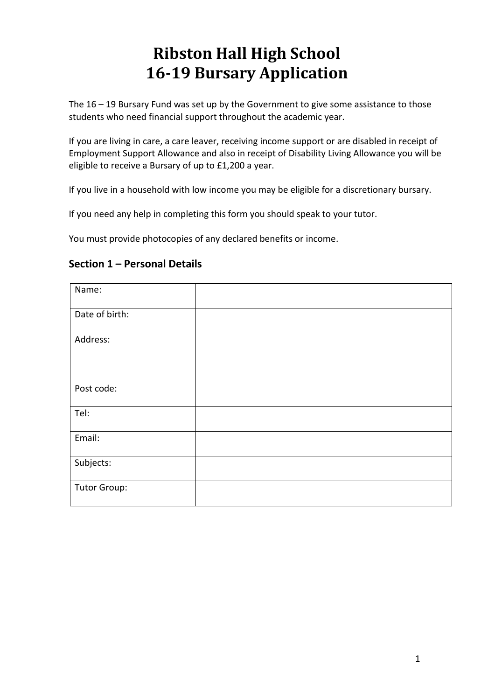# **Ribston Hall High School 16-19 Bursary Application**

The 16 – 19 Bursary Fund was set up by the Government to give some assistance to those students who need financial support throughout the academic year.

If you are living in care, a care leaver, receiving income support or are disabled in receipt of Employment Support Allowance and also in receipt of Disability Living Allowance you will be eligible to receive a Bursary of up to £1,200 a year.

If you live in a household with low income you may be eligible for a discretionary bursary.

If you need any help in completing this form you should speak to your tutor.

You must provide photocopies of any declared benefits or income.

| Name:               |  |
|---------------------|--|
| Date of birth:      |  |
| Address:            |  |
| Post code:          |  |
| Tel:                |  |
| Email:              |  |
| Subjects:           |  |
| <b>Tutor Group:</b> |  |

#### **Section 1 – Personal Details**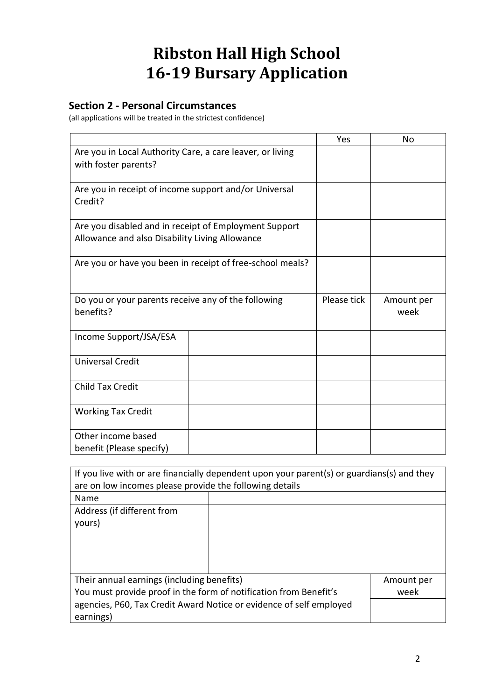# **Ribston Hall High School 16-19 Bursary Application**

## **Section 2 - Personal Circumstances**

(all applications will be treated in the strictest confidence)

|                                                                                                         |  | Yes         | No                 |
|---------------------------------------------------------------------------------------------------------|--|-------------|--------------------|
| Are you in Local Authority Care, a care leaver, or living<br>with foster parents?                       |  |             |                    |
| Are you in receipt of income support and/or Universal<br>Credit?                                        |  |             |                    |
| Are you disabled and in receipt of Employment Support<br>Allowance and also Disability Living Allowance |  |             |                    |
| Are you or have you been in receipt of free-school meals?                                               |  |             |                    |
| Do you or your parents receive any of the following<br>benefits?                                        |  | Please tick | Amount per<br>week |
| Income Support/JSA/ESA                                                                                  |  |             |                    |
| <b>Universal Credit</b>                                                                                 |  |             |                    |
| <b>Child Tax Credit</b>                                                                                 |  |             |                    |
| <b>Working Tax Credit</b>                                                                               |  |             |                    |
| Other income based<br>benefit (Please specify)                                                          |  |             |                    |

| If you live with or are financially dependent upon your parent(s) or guardians(s) and they<br>are on low incomes please provide the following details |  |            |  |
|-------------------------------------------------------------------------------------------------------------------------------------------------------|--|------------|--|
| Name                                                                                                                                                  |  |            |  |
| Address (if different from                                                                                                                            |  |            |  |
| yours)                                                                                                                                                |  |            |  |
|                                                                                                                                                       |  |            |  |
|                                                                                                                                                       |  |            |  |
|                                                                                                                                                       |  |            |  |
| Their annual earnings (including benefits)                                                                                                            |  | Amount per |  |
| You must provide proof in the form of notification from Benefit's                                                                                     |  | week       |  |
| agencies, P60, Tax Credit Award Notice or evidence of self employed                                                                                   |  |            |  |
| earnings)                                                                                                                                             |  |            |  |